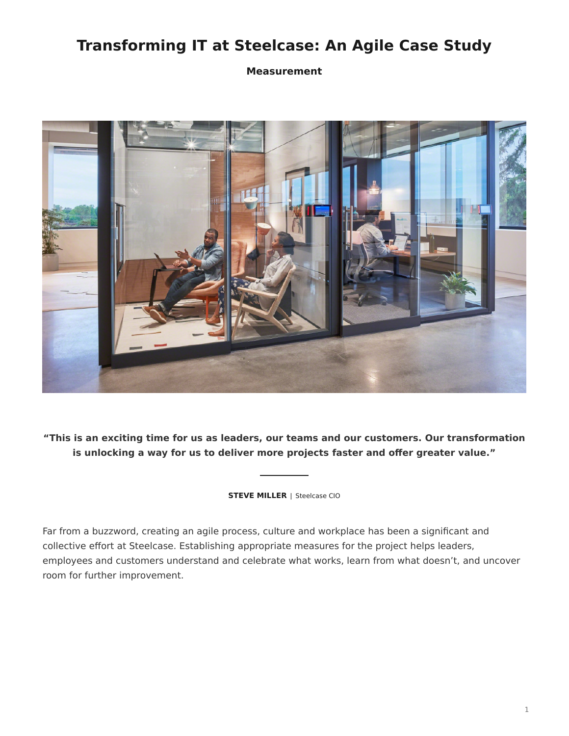# **Transforming IT at Steelcase: An Agile Case Study**

**Measurement**



**"This is an exciting time for us as leaders, our teams and our customers. Our transformation is unlocking a way for us to deliver more projects faster and offer greater value."**

**STEVE MILLER** | Steelcase CIO

Far from a buzzword, creating an agile process, culture and workplace has been a significant and collective effort at Steelcase. Establishing appropriate measures for the project helps leaders, employees and customers understand and celebrate what works, learn from what doesn't, and uncover room for further improvement.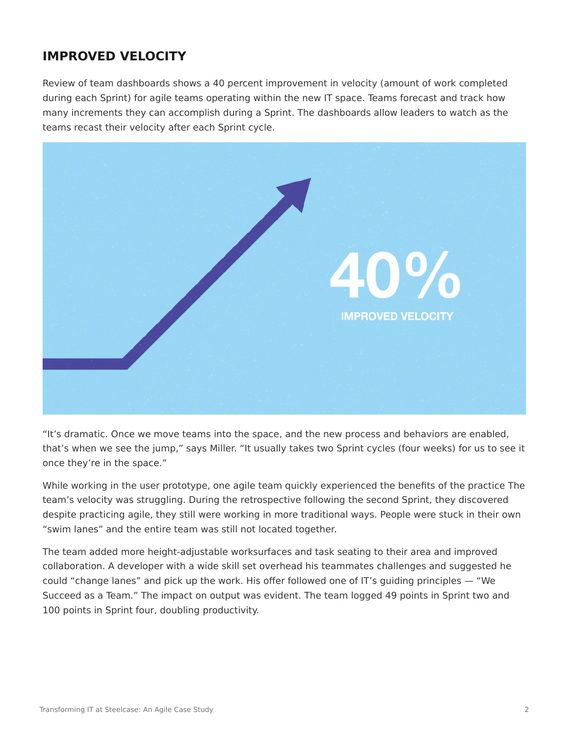## **IMPROVED VELOCITY**

Review of team dashboards shows a 40 percent improvement in velocity (amount of work completed during each Sprint) for agile teams operating within the new IT space. Teams forecast and track how many increments they can accomplish during a Sprint. The dashboards allow leaders to watch as the teams recast their velocity after each Sprint cycle.



"It's dramatic. Once we move teams into the space, and the new process and behaviors are enabled, that's when we see the jump," says Miller. "It usually takes two Sprint cycles (four weeks) for us to see it once they're in the space."

While working in the user prototype, one agile team quickly experienced the benefits of the practice The team's velocity was struggling. During the retrospective following the second Sprint, they discovered despite practicing agile, they still were working in more traditional ways. People were stuck in their own "swim lanes" and the entire team was still not located together.

The team added more height-adjustable worksurfaces and task seating to their area and improved collaboration. A developer with a wide skill set overhead his teammates challenges and suggested he could "change lanes" and pick up the work. His offer followed one of IT's guiding principles — "We Succeed as a Team." The impact on output was evident. The team logged 49 points in Sprint two and 100 points in Sprint four, doubling productivity.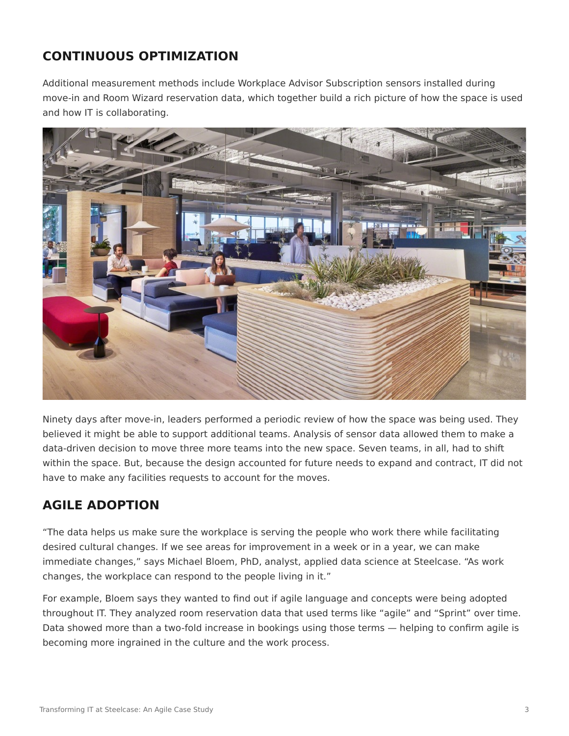## **CONTINUOUS OPTIMIZATION**

Additional measurement methods include Workplace Advisor Subscription sensors installed during move-in and Room Wizard reservation data, which together build a rich picture of how the space is used and how IT is collaborating.



Ninety days after move-in, leaders performed a periodic review of how the space was being used. They believed it might be able to support additional teams. Analysis of sensor data allowed them to make a data-driven decision to move three more teams into the new space. Seven teams, in all, had to shift within the space. But, because the design accounted for future needs to expand and contract, IT did not have to make any facilities requests to account for the moves.

## **AGILE ADOPTION**

"The data helps us make sure the workplace is serving the people who work there while facilitating desired cultural changes. If we see areas for improvement in a week or in a year, we can make immediate changes," says Michael Bloem, PhD, analyst, applied data science at Steelcase. "As work changes, the workplace can respond to the people living in it."

For example, Bloem says they wanted to find out if agile language and concepts were being adopted throughout IT. They analyzed room reservation data that used terms like "agile" and "Sprint" over time. Data showed more than a two-fold increase in bookings using those terms — helping to confirm agile is becoming more ingrained in the culture and the work process.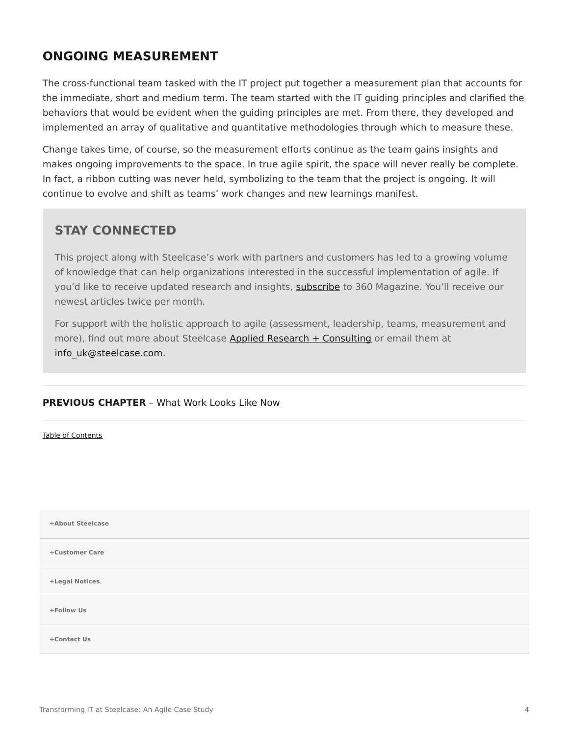### **ONGOING MEASUREMENT**

The cross-functional team tasked with the IT project put together a measurement plan that accounts for the immediate, short and medium term. The team started with the IT guiding principles and clarified the behaviors that would be evident when the guiding principles are met. From there, they developed and implemented an array of qualitative and quantitative methodologies through which to measure these.

Change takes time, of course, so the measurement efforts continue as the team gains insights and makes ongoing improvements to the space. In true agile spirit, the space will never really be complete. In fact, a ribbon cutting was never held, symbolizing to the team that the project is ongoing. It will continue to evolve and shift as teams' work changes and new learnings manifest.

#### **STAY CONNECTED**

This project along with Steelcase's work with partners and customers has led to a growing volume of knowledge that can help organizations interested in the successful implementation of agile. If you'd like to receive updated research and insights, [subscribe](https://info.steelcase.com/360/newsletter-subscription) to 360 Magazine. You'll receive our newest articles twice per month.

For support with the holistic approach to agile (assessment, leadership, teams, measurement and more), find out more about Steelcase [Applied Research + Consulting](https://www.steelcase.com/eu-en/about/steelcase/consulting/) or email them at [info\\_uk@steelcase.com](mailto:info_uk@steelcase.com).

#### **PREVIOUS CHAPTER** – [What Work Looks Like Now](https://www.steelcase.com/eu-en/research/articles/agile-case-study-what-works-looks-like-now/)

[Table of Contents](https://www.steelcase.com/eu-en/research/articles/agile-case-study/)

**[Follow Us](https://www.steelcase.com/eu-en/) [+](https://www.steelcase.com/eu-en/) [Contact Us](https://www.steelcase.com/eu-en/contact-us/) [+](https://www.steelcase.com/eu-en/contact-us/) [+About Steelcase](https://www.steelcase.com/eu-en/about/steelcase/our-company/) +Customer Care +Legal Notices**